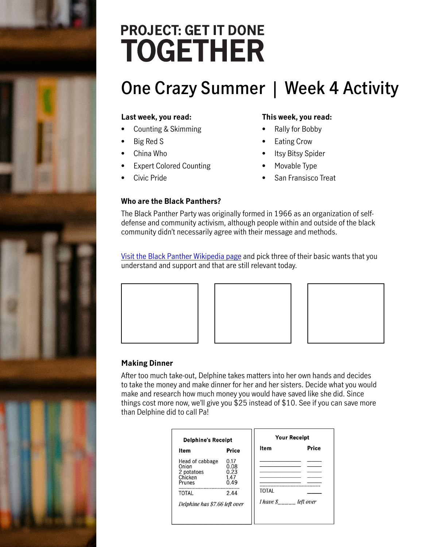# **PROJECT: GET IT DONE TOGETHER**

## **One Crazy Summer | Week 4 Activity**

#### **Last week, you read:**

- Counting & Skimming
- Big Red S
- China Who
- Expert Colored Counting
- Civic Pride

#### **This week, you read:**

- Rally for Bobby
- **Eating Crow**
- Itsy Bitsy Spider
- Movable Type
- San Fransisco Treat

#### **Who are the Black Panthers?**

The Black Panther Party was originally formed in 1966 as an organization of selfdefense and community activism, although people within and outside of the black community didn't necessarily agree with their message and methods.

[Visit the Black Panther Wikipedia page](https://en.wikipedia.org/wiki/Ten-Point_Program) and pick three of their basic wants that you understand and support and that are still relevant today.







#### **Making Dinner**

After too much take-out, Delphine takes matters into her own hands and decides to take the money and make dinner for her and her sisters. Decide what you would make and research how much money you would have saved like she did. Since things cost more now, we'll give you \$25 instead of \$10. See if you can save more than Delphine did to call Pa!

| <b>Delphine's Receipt</b>                                                                             |                                              | <b>Your Receipt</b>                                       |              |
|-------------------------------------------------------------------------------------------------------|----------------------------------------------|-----------------------------------------------------------|--------------|
| ltem                                                                                                  | <b>Price</b>                                 | <b>Item</b>                                               | <b>Price</b> |
| Head of cabbage<br>Onion<br>2 potatoes<br>Chicken<br>Prunes<br>TOTAL<br>Delphine has \$7.66 left over | 0.17<br>0.08<br>0.23<br>1.47<br>0.49<br>2.44 | TOTAL<br><i>I have <math>\frac{g}{g}</math> left over</i> |              |